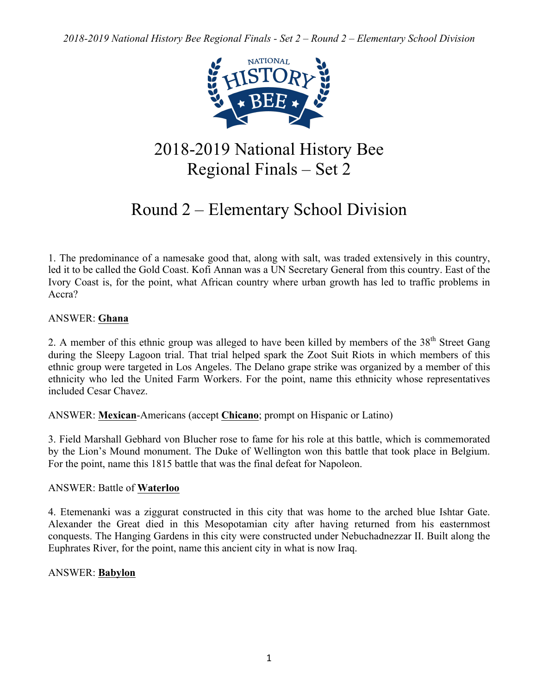*2018-2019 National History Bee Regional Finals - Set 2 – Round 2 – Elementary School Division*



# 2018-2019 National History Bee Regional Finals – Set 2

# Round 2 – Elementary School Division

1. The predominance of a namesake good that, along with salt, was traded extensively in this country, led it to be called the Gold Coast. Kofi Annan was a UN Secretary General from this country. East of the Ivory Coast is, for the point, what African country where urban growth has led to traffic problems in Accra?

# ANSWER: **Ghana**

2. A member of this ethnic group was alleged to have been killed by members of the 38<sup>th</sup> Street Gang during the Sleepy Lagoon trial. That trial helped spark the Zoot Suit Riots in which members of this ethnic group were targeted in Los Angeles. The Delano grape strike was organized by a member of this ethnicity who led the United Farm Workers. For the point, name this ethnicity whose representatives included Cesar Chavez.

ANSWER: **Mexican**-Americans (accept **Chicano**; prompt on Hispanic or Latino)

3. Field Marshall Gebhard von Blucher rose to fame for his role at this battle, which is commemorated by the Lion's Mound monument. The Duke of Wellington won this battle that took place in Belgium. For the point, name this 1815 battle that was the final defeat for Napoleon.

## ANSWER: Battle of **Waterloo**

4. Etemenanki was a ziggurat constructed in this city that was home to the arched blue Ishtar Gate. Alexander the Great died in this Mesopotamian city after having returned from his easternmost conquests. The Hanging Gardens in this city were constructed under Nebuchadnezzar II. Built along the Euphrates River, for the point, name this ancient city in what is now Iraq.

# ANSWER: **Babylon**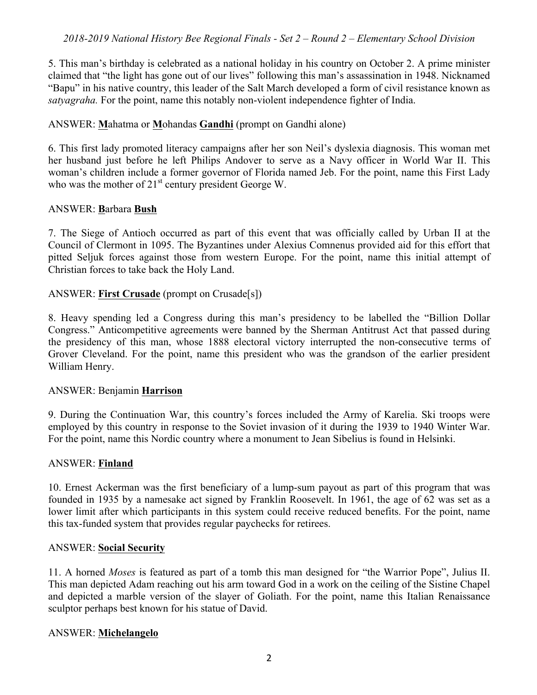5. This man's birthday is celebrated as a national holiday in his country on October 2. A prime minister claimed that "the light has gone out of our lives" following this man's assassination in 1948. Nicknamed "Bapu" in his native country, this leader of the Salt March developed a form of civil resistance known as *satyagraha.* For the point, name this notably non-violent independence fighter of India.

# ANSWER: **M**ahatma or **M**ohandas **Gandhi** (prompt on Gandhi alone)

6. This first lady promoted literacy campaigns after her son Neil's dyslexia diagnosis. This woman met her husband just before he left Philips Andover to serve as a Navy officer in World War II. This woman's children include a former governor of Florida named Jeb. For the point, name this First Lady who was the mother of 21<sup>st</sup> century president George W.

## ANSWER: **B**arbara **Bush**

7. The Siege of Antioch occurred as part of this event that was officially called by Urban II at the Council of Clermont in 1095. The Byzantines under Alexius Comnenus provided aid for this effort that pitted Seljuk forces against those from western Europe. For the point, name this initial attempt of Christian forces to take back the Holy Land.

# ANSWER: **First Crusade** (prompt on Crusade[s])

8. Heavy spending led a Congress during this man's presidency to be labelled the "Billion Dollar Congress." Anticompetitive agreements were banned by the Sherman Antitrust Act that passed during the presidency of this man, whose 1888 electoral victory interrupted the non-consecutive terms of Grover Cleveland. For the point, name this president who was the grandson of the earlier president William Henry.

## ANSWER: Benjamin **Harrison**

9. During the Continuation War, this country's forces included the Army of Karelia. Ski troops were employed by this country in response to the Soviet invasion of it during the 1939 to 1940 Winter War. For the point, name this Nordic country where a monument to Jean Sibelius is found in Helsinki.

## ANSWER: **Finland**

10. Ernest Ackerman was the first beneficiary of a lump-sum payout as part of this program that was founded in 1935 by a namesake act signed by Franklin Roosevelt. In 1961, the age of 62 was set as a lower limit after which participants in this system could receive reduced benefits. For the point, name this tax-funded system that provides regular paychecks for retirees.

## ANSWER: **Social Security**

11. A horned *Moses* is featured as part of a tomb this man designed for "the Warrior Pope", Julius II. This man depicted Adam reaching out his arm toward God in a work on the ceiling of the Sistine Chapel and depicted a marble version of the slayer of Goliath. For the point, name this Italian Renaissance sculptor perhaps best known for his statue of David.

## ANSWER: **Michelangelo**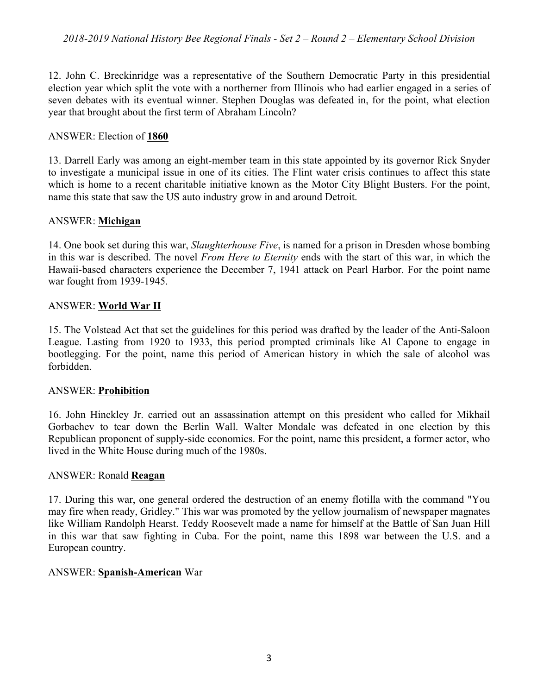12. John C. Breckinridge was a representative of the Southern Democratic Party in this presidential election year which split the vote with a northerner from Illinois who had earlier engaged in a series of seven debates with its eventual winner. Stephen Douglas was defeated in, for the point, what election year that brought about the first term of Abraham Lincoln?

# ANSWER: Election of **1860**

13. Darrell Early was among an eight-member team in this state appointed by its governor Rick Snyder to investigate a municipal issue in one of its cities. The Flint water crisis continues to affect this state which is home to a recent charitable initiative known as the Motor City Blight Busters. For the point, name this state that saw the US auto industry grow in and around Detroit.

# ANSWER: **Michigan**

14. One book set during this war, *Slaughterhouse Five*, is named for a prison in Dresden whose bombing in this war is described. The novel *From Here to Eternity* ends with the start of this war, in which the Hawaii-based characters experience the December 7, 1941 attack on Pearl Harbor. For the point name war fought from 1939-1945.

# ANSWER: **World War II**

15. The Volstead Act that set the guidelines for this period was drafted by the leader of the Anti-Saloon League. Lasting from 1920 to 1933, this period prompted criminals like Al Capone to engage in bootlegging. For the point, name this period of American history in which the sale of alcohol was forbidden.

# ANSWER: **Prohibition**

16. John Hinckley Jr. carried out an assassination attempt on this president who called for Mikhail Gorbachev to tear down the Berlin Wall. Walter Mondale was defeated in one election by this Republican proponent of supply-side economics. For the point, name this president, a former actor, who lived in the White House during much of the 1980s.

# ANSWER: Ronald **Reagan**

17. During this war, one general ordered the destruction of an enemy flotilla with the command "You may fire when ready, Gridley." This war was promoted by the yellow journalism of newspaper magnates like William Randolph Hearst. Teddy Roosevelt made a name for himself at the Battle of San Juan Hill in this war that saw fighting in Cuba. For the point, name this 1898 war between the U.S. and a European country.

# ANSWER: **Spanish-American** War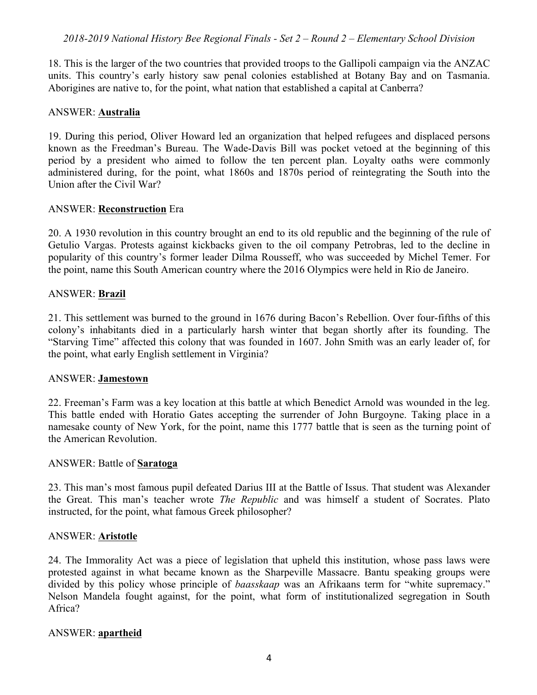# *2018-2019 National History Bee Regional Finals - Set 2 – Round 2 – Elementary School Division*

18. This is the larger of the two countries that provided troops to the Gallipoli campaign via the ANZAC units. This country's early history saw penal colonies established at Botany Bay and on Tasmania. Aborigines are native to, for the point, what nation that established a capital at Canberra?

## ANSWER: **Australia**

19. During this period, Oliver Howard led an organization that helped refugees and displaced persons known as the Freedman's Bureau. The Wade-Davis Bill was pocket vetoed at the beginning of this period by a president who aimed to follow the ten percent plan. Loyalty oaths were commonly administered during, for the point, what 1860s and 1870s period of reintegrating the South into the Union after the Civil War?

#### ANSWER: **Reconstruction** Era

20. A 1930 revolution in this country brought an end to its old republic and the beginning of the rule of Getulio Vargas. Protests against kickbacks given to the oil company Petrobras, led to the decline in popularity of this country's former leader Dilma Rousseff, who was succeeded by Michel Temer. For the point, name this South American country where the 2016 Olympics were held in Rio de Janeiro.

#### ANSWER: **Brazil**

21. This settlement was burned to the ground in 1676 during Bacon's Rebellion. Over four-fifths of this colony's inhabitants died in a particularly harsh winter that began shortly after its founding. The "Starving Time" affected this colony that was founded in 1607. John Smith was an early leader of, for the point, what early English settlement in Virginia?

#### ANSWER: **Jamestown**

22. Freeman's Farm was a key location at this battle at which Benedict Arnold was wounded in the leg. This battle ended with Horatio Gates accepting the surrender of John Burgoyne. Taking place in a namesake county of New York, for the point, name this 1777 battle that is seen as the turning point of the American Revolution.

#### ANSWER: Battle of **Saratoga**

23. This man's most famous pupil defeated Darius III at the Battle of Issus. That student was Alexander the Great. This man's teacher wrote *The Republic* and was himself a student of Socrates. Plato instructed, for the point, what famous Greek philosopher?

## ANSWER: **Aristotle**

24. The Immorality Act was a piece of legislation that upheld this institution, whose pass laws were protested against in what became known as the Sharpeville Massacre. Bantu speaking groups were divided by this policy whose principle of *baasskaap* was an Afrikaans term for "white supremacy." Nelson Mandela fought against, for the point, what form of institutionalized segregation in South Africa?

#### ANSWER: **apartheid**